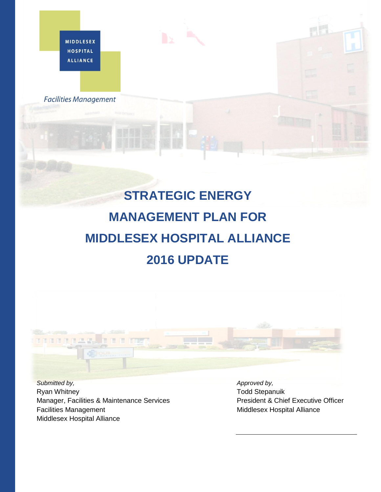**MIDDLESEX HOSPITAL ALLIANCE** 

**Facilities Management** 

## **STRATEGIC ENERGY MANAGEMENT PLAN FOR MIDDLESEX HOSPITAL ALLIANCE 2016 UPDATE**



*Submitted by,*  Ryan Whitney Manager, Facilities & Maintenance Services Facilities Management Middlesex Hospital Alliance

*Approved by,*  Todd Stepanuik President & Chief Executive Officer Middlesex Hospital Alliance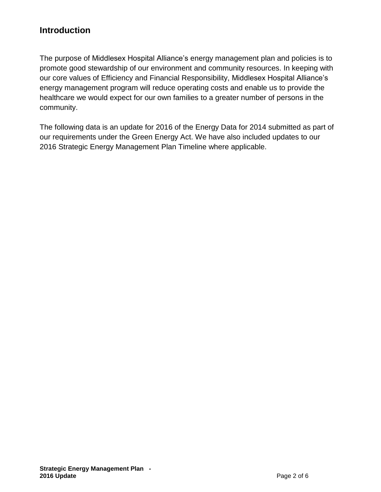## **Introduction**

The purpose of Middlesex Hospital Alliance's energy management plan and policies is to promote good stewardship of our environment and community resources. In keeping with our core values of Efficiency and Financial Responsibility, Middlesex Hospital Alliance's energy management program will reduce operating costs and enable us to provide the healthcare we would expect for our own families to a greater number of persons in the community.

The following data is an update for 2016 of the Energy Data for 2014 submitted as part of our requirements under the Green Energy Act. We have also included updates to our 2016 Strategic Energy Management Plan Timeline where applicable.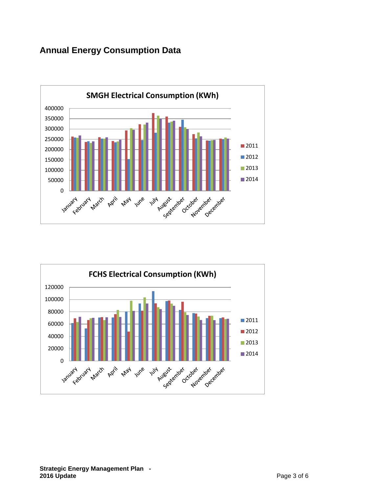## **Annual Energy Consumption Data**



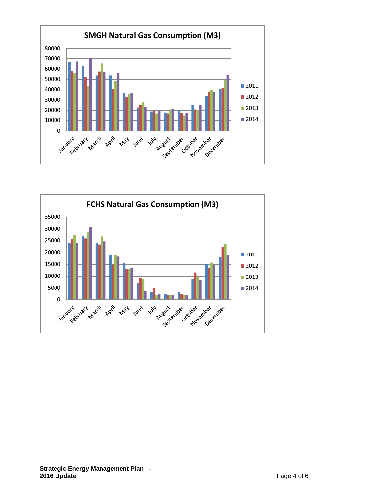

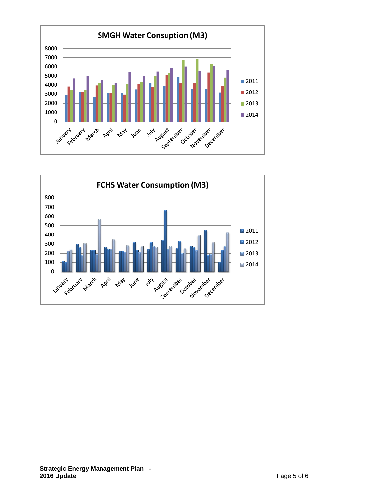